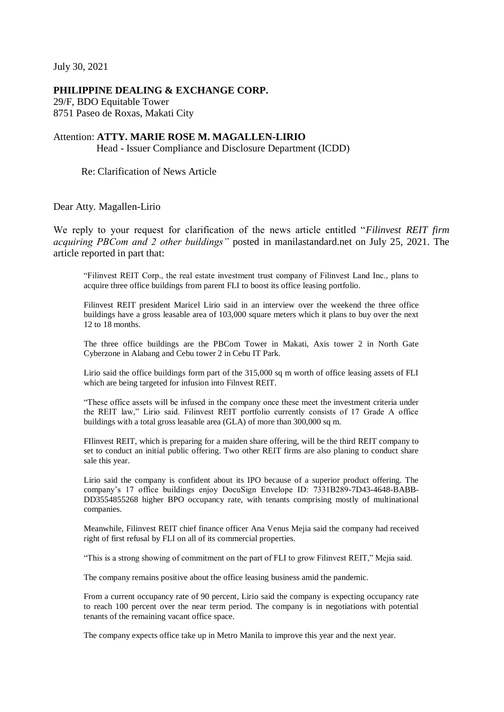July 30, 2021

## **PHILIPPINE DEALING & EXCHANGE CORP.**

29/F, BDO Equitable Tower 8751 Paseo de Roxas, Makati City

## Attention: **ATTY. MARIE ROSE M. MAGALLEN-LIRIO**

Head - Issuer Compliance and Disclosure Department (ICDD)

Re: Clarification of News Article

Dear Atty. Magallen-Lirio

We reply to your request for clarification of the news article entitled "*Filinvest REIT firm acquiring PBCom and 2 other buildings"* posted in manilastandard.net on July 25, 2021. The article reported in part that:

"Filinvest REIT Corp., the real estate investment trust company of Filinvest Land Inc., plans to acquire three office buildings from parent FLI to boost its office leasing portfolio.

Filinvest REIT president Maricel Lirio said in an interview over the weekend the three office buildings have a gross leasable area of 103,000 square meters which it plans to buy over the next 12 to 18 months.

The three office buildings are the PBCom Tower in Makati, Axis tower 2 in North Gate Cyberzone in Alabang and Cebu tower 2 in Cebu IT Park.

Lirio said the office buildings form part of the 315,000 sq m worth of office leasing assets of FLI which are being targeted for infusion into Filnvest REIT.

"These office assets will be infused in the company once these meet the investment criteria under the REIT law," Lirio said. Filinvest REIT portfolio currently consists of 17 Grade A office buildings with a total gross leasable area (GLA) of more than 300,000 sq m.

FIlinvest REIT, which is preparing for a maiden share offering, will be the third REIT company to set to conduct an initial public offering. Two other REIT firms are also planing to conduct share sale this year.

Lirio said the company is confident about its IPO because of a superior product offering. The company's 17 office buildings enjoy DocuSign Envelope ID: 7331B289-7D43-4648-BABB-DD3554855268 higher BPO occupancy rate, with tenants comprising mostly of multinational companies.

Meanwhile, Filinvest REIT chief finance officer Ana Venus Mejia said the company had received right of first refusal by FLI on all of its commercial properties.

"This is a strong showing of commitment on the part of FLI to grow Filinvest REIT," Mejia said.

The company remains positive about the office leasing business amid the pandemic.

From a current occupancy rate of 90 percent, Lirio said the company is expecting occupancy rate to reach 100 percent over the near term period. The company is in negotiations with potential tenants of the remaining vacant office space.

The company expects office take up in Metro Manila to improve this year and the next year.